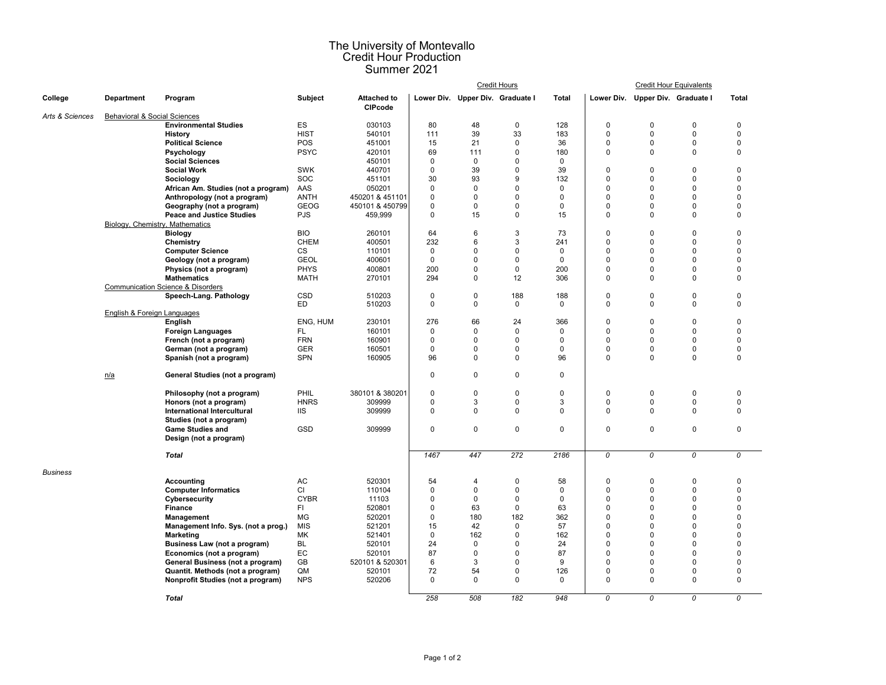## The University of Montevallo Credit Hour Production Summer 2021

|                 |                                        |                                              |                          |                                      | <b>Credit Hours</b>              |                            |                         |                    |                            |                                  | <b>Credit Hour Equivalents</b> |                  |
|-----------------|----------------------------------------|----------------------------------------------|--------------------------|--------------------------------------|----------------------------------|----------------------------|-------------------------|--------------------|----------------------------|----------------------------------|--------------------------------|------------------|
| College         | Department                             | Program                                      | Subject                  | <b>Attached to</b><br><b>CIPcode</b> | Lower Div. Upper Div. Graduate I |                            |                         | <b>Total</b>       |                            | Lower Div. Upper Div. Graduate I |                                | <b>Total</b>     |
| Arts & Sciences | Behavioral & Social Sciences           |                                              |                          |                                      |                                  |                            |                         |                    |                            |                                  |                                |                  |
|                 |                                        | <b>Environmental Studies</b>                 | ES                       | 030103                               | 80                               | 48                         | 0                       | 128                | $\mathbf 0$                | 0                                | $\Omega$                       | 0                |
|                 |                                        | <b>History</b>                               | <b>HIST</b>              | 540101                               | 111                              | 39                         | 33                      | 183                | 0                          | 0                                | 0                              | 0                |
|                 |                                        | <b>Political Science</b>                     | POS                      | 451001                               | 15                               | 21                         | 0                       | 36                 | 0                          | 0                                | $\mathbf 0$                    | 0                |
|                 |                                        | Psychology                                   | <b>PSYC</b>              | 420101                               | 69                               | 111                        | 0                       | 180                | 0                          | 0                                | $\mathbf 0$                    | 0                |
|                 |                                        | <b>Social Sciences</b>                       |                          | 450101                               | $\mathbf 0$                      | $\mathbf 0$                | $\pmb{0}$               | $\mathsf 0$        |                            |                                  |                                |                  |
|                 |                                        | <b>Social Work</b>                           | <b>SWK</b>               | 440701                               | $\pmb{0}$                        | 39                         | $\pmb{0}$               | 39                 | 0                          | 0                                | $\Omega$                       | 0                |
|                 |                                        | Sociology                                    | SOC                      | 451101                               | 30                               | 93                         | 9                       | 132                | $\mathbf 0$                | 0                                | $\Omega$                       | $\Omega$         |
|                 |                                        | African Am. Studies (not a program)          | AAS                      | 050201                               | $\mathbf 0$                      | $\mathbf 0$                | $\mathbf{0}$            | $\mathbf 0$        | $\mathbf 0$                | $\Omega$                         | $\Omega$                       | $\Omega$         |
|                 |                                        | Anthropology (not a program)                 | <b>ANTH</b>              | 450201 & 451101                      | $\mathbf 0$                      | $\mathbf 0$                | $\mathbf 0$             | $\mathbf 0$        | $\mathbf 0$                | $\Omega$                         | $\Omega$                       | $\Omega$         |
|                 |                                        | Geography (not a program)                    | <b>GEOG</b>              | 450101 & 450799                      | $\mathbf 0$                      | $\mathbf 0$                | $\Omega$                | $\mathbf 0$        | $\mathbf 0$                | $\mathbf 0$                      | $\Omega$                       | $\Omega$         |
|                 |                                        | <b>Peace and Justice Studies</b>             | <b>PJS</b>               | 459,999                              | $\mathbf 0$                      | 15                         | 0                       | 15                 | $\mathbf 0$                | 0                                | $\Omega$                       | 0                |
|                 | Biology, Chemistry, Mathematics        |                                              |                          |                                      |                                  |                            |                         |                    |                            |                                  |                                |                  |
|                 |                                        | <b>Biology</b>                               | <b>BIO</b>               | 260101                               | 64                               | 6                          | 3                       | 73                 | $\pmb{0}$                  | $\mathbf 0$                      | $\Omega$                       | 0                |
|                 |                                        | Chemistry                                    | <b>CHEM</b>              | 400501                               | 232                              | 6                          | 3                       | 241                | $\mathbf 0$                | 0                                | $\mathbf 0$                    | $\Omega$         |
|                 |                                        | <b>Computer Science</b>                      | $\mathsf{CS}\phantom{0}$ | 110101                               | $\mathbf 0$                      | $\mathbf 0$                | $\mathsf 0$             | $\mathsf 0$        | 0                          | 0                                | $\mathbf 0$                    | $\Omega$         |
|                 |                                        | Geology (not a program)                      | <b>GEOL</b>              | 400601                               | $\mathbf 0$                      | $\mathbf 0$                | $\mathbf 0$             | $\mathbf 0$        | $\mathbf 0$                | 0                                | $\mathbf 0$                    | $\Omega$         |
|                 |                                        | Physics (not a program)                      | <b>PHYS</b>              | 400801                               | 200                              | $\mathbf 0$                | $\mathbf 0$             | 200                | $\mathbf 0$                | $\Omega$                         | $\Omega$                       | $\Omega$         |
|                 |                                        | <b>Mathematics</b>                           | <b>MATH</b>              | 270101                               | 294                              | $\mathbf 0$                | 12                      | 306                | $\mathbf 0$                | 0                                | $\Omega$                       | 0                |
|                 |                                        | <b>Communication Science &amp; Disorders</b> |                          |                                      |                                  |                            |                         |                    |                            |                                  |                                |                  |
|                 |                                        | Speech-Lang. Pathology                       | <b>CSD</b><br>ED.        | 510203<br>510203                     | $\mathbf 0$<br>$\mathbf 0$       | $\mathbf 0$<br>$\mathbf 0$ | 188<br>$\mathbf 0$      | 188<br>$\mathbf 0$ | $\mathbf 0$<br>$\mathbf 0$ | 0<br>0                           | $\Omega$<br>$\mathbf 0$        | $\mathbf 0$<br>0 |
|                 | <b>English &amp; Foreign Languages</b> |                                              |                          |                                      |                                  |                            |                         |                    |                            |                                  |                                |                  |
|                 |                                        | English                                      | ENG. HUM                 | 230101                               | 276                              | 66                         | 24                      | 366                | $\mathbf 0$                | $\Omega$                         | $\Omega$                       | $\Omega$         |
|                 |                                        | <b>Foreign Languages</b>                     | FL.                      | 160101                               | $\mathbf 0$                      | $\Omega$                   | $\mathbf 0$             | $\mathbf 0$        | 0                          | $\Omega$                         | $\Omega$                       | $\Omega$         |
|                 |                                        | French (not a program)                       | <b>FRN</b>               | 160901                               | 0                                | 0                          | $\mathbf 0$             | $\mathbf 0$        | 0                          | $\Omega$                         | $\Omega$                       | $\Omega$         |
|                 |                                        | German (not a program)                       | <b>GER</b>               | 160501                               | $\mathbf 0$                      | $\mathbf 0$                | 0                       | $\mathbf{0}$       | 0                          | 0                                | $\mathbf 0$                    | $\Omega$         |
|                 |                                        | Spanish (not a program)                      | <b>SPN</b>               | 160905                               | 96                               | $\Omega$                   | 0                       | 96                 | $\mathbf 0$                | 0                                | $\Omega$                       | $\Omega$         |
|                 | n/a                                    | General Studies (not a program)              |                          |                                      | $\mathbf 0$                      | $\mathbf 0$                | $\Omega$                | $\mathbf 0$        |                            |                                  |                                |                  |
|                 |                                        |                                              |                          |                                      |                                  |                            |                         |                    |                            |                                  |                                |                  |
|                 |                                        | Philosophy (not a program)                   | PHIL                     | 380101 & 380201                      | $\pmb{0}$                        | 0                          | $\mathbf 0$             | $\mathbf 0$        | $\mathsf 0$                | 0                                | $\Omega$                       | $\Omega$         |
|                 |                                        | Honors (not a program)                       | <b>HNRS</b>              | 309999                               | $\mathsf 0$                      | 3                          | $\pmb{0}$               | 3                  | 0                          | 0                                | 0                              | 0                |
|                 |                                        | International Intercultural                  | <b>IIS</b>               | 309999                               | $\Omega$                         | $\Omega$                   | $\Omega$                | $\Omega$           | 0                          | $\Omega$                         | $\Omega$                       | 0                |
|                 |                                        | Studies (not a program)                      |                          |                                      |                                  |                            |                         |                    |                            |                                  |                                |                  |
|                 |                                        | <b>Game Studies and</b>                      | GSD                      | 309999                               | $\mathsf 0$                      | 0                          | 0                       | $\mathbf 0$        | 0                          | 0                                | $\pmb{0}$                      | 0                |
|                 |                                        | Design (not a program)                       |                          |                                      |                                  |                            |                         |                    |                            |                                  |                                |                  |
|                 |                                        | <b>Total</b>                                 |                          |                                      | 1467                             | 447                        | 272                     | 2186               | 0                          | 0                                | 0                              | 0                |
| <b>Business</b> |                                        |                                              |                          |                                      |                                  |                            |                         |                    |                            |                                  |                                |                  |
|                 |                                        | Accounting                                   | AC                       | 520301                               | 54                               | 4                          | $\mathbf 0$             | 58                 | $\mathbf 0$                | 0                                | $\mathbf 0$                    | 0                |
|                 |                                        | <b>Computer Informatics</b>                  | CI                       | 110104                               | $\pmb{0}$                        | 0                          | 0                       | $\mathbf 0$        | 0                          | $\mathbf 0$                      | $\Omega$                       | 0                |
|                 |                                        | Cybersecurity                                | <b>CYBR</b>              | 11103                                | $\mathbf 0$                      | 0                          | 0                       | $\mathbf 0$        | 0                          | $\Omega$                         | $\Omega$                       | 0                |
|                 |                                        | Finance                                      | FI.                      | 520801                               | $\pmb{0}$                        | 63                         | 0                       | 63                 | 0                          | $\mathbf 0$                      | $\mathbf 0$                    | 0                |
|                 |                                        | Management                                   | MG                       | 520201                               | $\mathbf 0$                      | 180                        | 182                     | 362                | $\mathbf 0$                | $\Omega$                         | $\mathbf 0$                    | $\Omega$         |
|                 |                                        | Management Info. Sys. (not a prog.)          | <b>MIS</b>               | 521201                               | 15                               | 42                         | $\mathsf 0$             | 57                 | 0                          | $\Omega$                         | $\Omega$                       | 0                |
|                 |                                        | <b>Marketing</b>                             | MK                       | 521401                               | $\mathbf 0$                      | 162                        | $\mathsf 0$             | 162                | 0                          | 0                                | $\Omega$                       | $\Omega$         |
|                 |                                        | Business Law (not a program)                 | <b>BL</b>                | 520101                               | 24                               | $\mathbf 0$                | $\mathbf{0}$            | 24                 | $\mathbf 0$                | $\Omega$                         | $\Omega$                       | $\Omega$         |
|                 |                                        | Economics (not a program)                    | EC                       | 520101                               | 87                               | $\mathbf 0$                | $\Omega$                | 87                 | $\mathbf 0$                | $\Omega$                         | $\Omega$                       | $\Omega$         |
|                 |                                        | General Business (not a program)             | GB                       | 520101 & 520301                      | 6                                | 3                          | $\mathbf{0}$            | 9                  | $\mathbf 0$                | $\Omega$                         | $\Omega$                       | $\Omega$         |
|                 |                                        | Quantit. Methods (not a program)             | QM                       | 520101                               | 72                               | 54                         | $\mathbf 0$<br>$\Omega$ | 126                | 0                          | $\mathbf 0$                      | $\Omega$                       | 0                |
|                 |                                        | Nonprofit Studies (not a program)            | <b>NPS</b>               | 520206                               | $\mathbf 0$                      | $\mathbf 0$                |                         | $\Omega$           | $\mathbf 0$                | 0                                | $\mathbf 0$                    | $\Omega$         |
|                 |                                        | <b>Total</b>                                 |                          |                                      | 258                              | 508                        | 182                     | 948                | $\overline{0}$             | $\overline{o}$                   | $\overline{o}$                 | $\overline{0}$   |